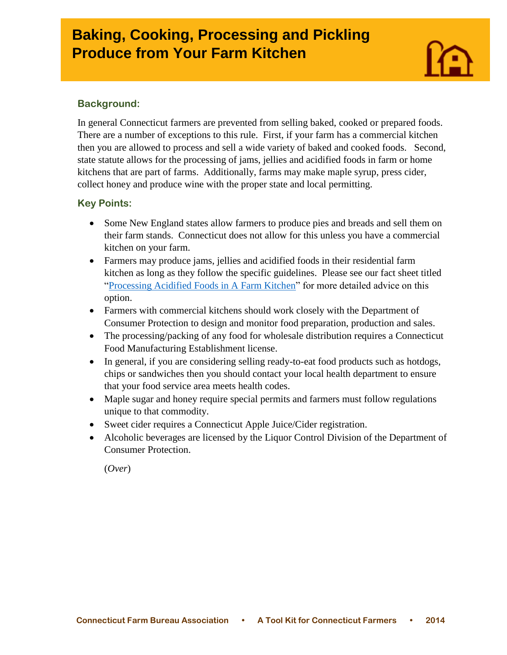# **Baking, Cooking, Processing and Pickling** *Produce 3 <b>A* **Produce from Your Farm Kitchen**

# **Background:**

I

In general Connecticut farmers are prevented from selling baked, cooked or prepared foods. There are a number of exceptions to this rule. First, if your farm has a commercial kitchen then you are allowed to process and sell a wide variety of baked and cooked foods. Second, state statute allows for the processing of jams, jellies and acidified foods in farm or home kitchens that are part of farms. Additionally, farms may make maple syrup, press cider, collect honey and produce wine with the proper state and local permitting.

#### **Key Points:**

- Some New England states allow farmers to produce pies and breads and sell them on their farm stands. Connecticut does not allow for this unless you have a commercial kitchen on your farm.
- Farmers may produce jams, jellies and acidified foods in their residential farm kitchen as long as they follow the specific guidelines. Please see our fact sheet titled ["Processing Acidified Foods in A Farm Kitchen"](http://www.cfba.org/ctfarmbureauadvocacytoolkit.htm) for more detailed advice on this option.
- Farmers with commercial kitchens should work closely with the Department of Consumer Protection to design and monitor food preparation, production and sales.
- The processing/packing of any food for wholesale distribution requires a Connecticut Food Manufacturing Establishment license.
- In general, if you are considering selling ready-to-eat food products such as hotdogs, chips or sandwiches then you should contact your local health department to ensure that your food service area meets health codes.
- Maple sugar and honey require special permits and farmers must follow regulations unique to that commodity.
- Sweet cider requires a Connecticut Apple Juice/Cider registration.
- Alcoholic beverages are licensed by the Liquor Control Division of the Department of Consumer Protection.

(*Over*)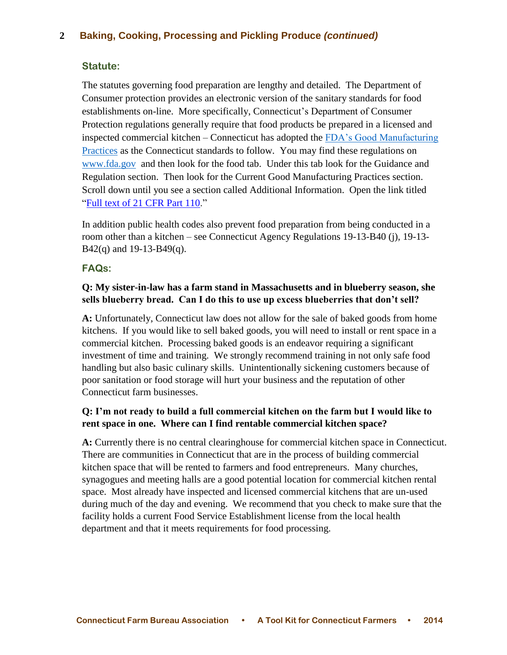# **2 Baking, Cooking, Processing and Pickling Produce** *(continued)*

#### **Statute:**

The statutes governing food preparation are lengthy and detailed. The Department of Consumer protection provides an electronic version of the sanitary standards for food establishments on-line. More specifically, Connecticut's Department of Consumer Protection regulations generally require that food products be prepared in a licensed and inspected commercial kitchen – Connecticut has adopted the [FDA's Good Manufacturing](http://www.accessdata.fda.gov/scripts/cdrh/cfdocs/cfcfr/CFRSearch.cfm?CFRPart=110)  [Practices](http://www.accessdata.fda.gov/scripts/cdrh/cfdocs/cfcfr/CFRSearch.cfm?CFRPart=110) as the Connecticut standards to follow. You may find these regulations on [www.fda.gov](http://www.fda.gov/) and then look for the food tab. Under this tab look for the Guidance and Regulation section. Then look for the Current Good Manufacturing Practices section. Scroll down until you see a section called Additional Information. Open the link titled ["Full text of 21 CFR Part 110.](http://ecfr.gpoaccess.gov/cgi/t/text/text-idx?c=ecfr&sid=cefdff5373327b34dfa6f87642959825&rgn=div5&view=text&node=21:2.0.1.1.10&idno=21)"

In addition public health codes also prevent food preparation from being conducted in a room other than a kitchen – see Connecticut Agency Regulations 19-13-B40 (j), 19-13-  $B42(q)$  and 19-13-B49(q).

#### **FAQs:**

### **Q: My sister-in-law has a farm stand in Massachusetts and in blueberry season, she sells blueberry bread. Can I do this to use up excess blueberries that don't sell?**

**A:** Unfortunately, Connecticut law does not allow for the sale of baked goods from home kitchens. If you would like to sell baked goods, you will need to install or rent space in a commercial kitchen. Processing baked goods is an endeavor requiring a significant investment of time and training. We strongly recommend training in not only safe food handling but also basic culinary skills. Unintentionally sickening customers because of poor sanitation or food storage will hurt your business and the reputation of other Connecticut farm businesses.

## **Q: I'm not ready to build a full commercial kitchen on the farm but I would like to rent space in one. Where can I find rentable commercial kitchen space?**

**A:** Currently there is no central clearinghouse for commercial kitchen space in Connecticut. There are communities in Connecticut that are in the process of building commercial kitchen space that will be rented to farmers and food entrepreneurs. Many churches, synagogues and meeting halls are a good potential location for commercial kitchen rental space. Most already have inspected and licensed commercial kitchens that are un-used during much of the day and evening. We recommend that you check to make sure that the facility holds a current Food Service Establishment license from the local health department and that it meets requirements for food processing.